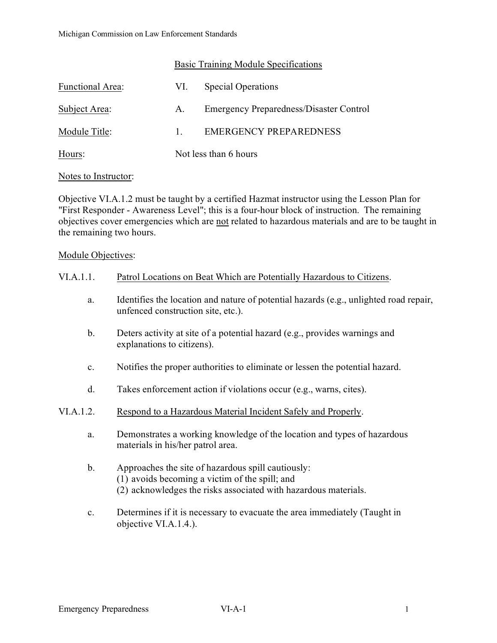|                         | Basic Training Module Specifications |                                                |
|-------------------------|--------------------------------------|------------------------------------------------|
| <b>Functional Area:</b> | VI.                                  | <b>Special Operations</b>                      |
| Subject Area:           | A.                                   | <b>Emergency Preparedness/Disaster Control</b> |
| Module Title:           | $1_{-}$                              | <b>EMERGENCY PREPAREDNESS</b>                  |
| Hours:                  |                                      | Not less than 6 hours                          |

## Notes to Instructor:

Objective VI.A.1.2 must be taught by a certified Hazmat instructor using the Lesson Plan for "First Responder - Awareness Level"; this is a four-hour block of instruction. The remaining objectives cover emergencies which are not related to hazardous materials and are to be taught in the remaining two hours.

## Module Objectives:

| VI.A.1.1.      | Patrol Locations on Beat Which are Potentially Hazardous to Citizens.                                                                                                   |
|----------------|-------------------------------------------------------------------------------------------------------------------------------------------------------------------------|
| a.             | Identifies the location and nature of potential hazards (e.g., unlighted road repair,<br>unfenced construction site, etc.).                                             |
| b.             | Deters activity at site of a potential hazard (e.g., provides warnings and<br>explanations to citizens).                                                                |
| $\mathbf{c}.$  | Notifies the proper authorities to eliminate or lessen the potential hazard.                                                                                            |
| d.             | Takes enforcement action if violations occur (e.g., warns, cites).                                                                                                      |
| VI.A.1.2.      | Respond to a Hazardous Material Incident Safely and Properly.                                                                                                           |
| a.             | Demonstrates a working knowledge of the location and types of hazardous<br>materials in his/her patrol area.                                                            |
| b.             | Approaches the site of hazardous spill cautiously:<br>(1) avoids becoming a victim of the spill; and<br>(2) acknowledges the risks associated with hazardous materials. |
| $\mathbf{c}$ . | Determines if it is necessary to evacuate the area immediately (Taught in                                                                                               |

objective VI.A.1.4.).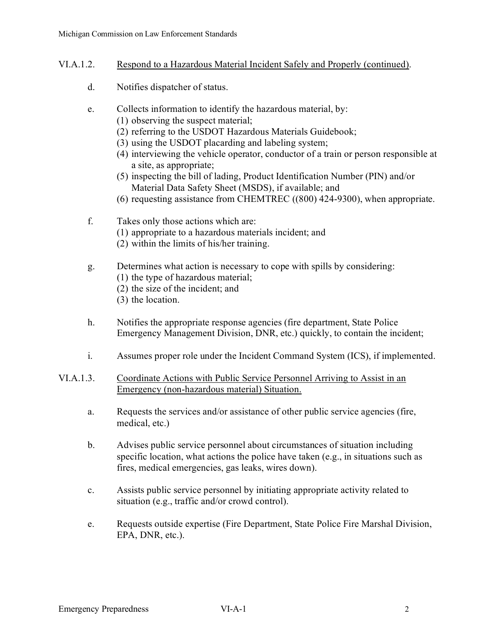- VI.A.1.2. Respond to a Hazardous Material Incident Safely and Properly (continued).
	- d. Notifies dispatcher of status.
	- e. Collects information to identify the hazardous material, by:
		- (1) observing the suspect material;
		- (2) referring to the USDOT Hazardous Materials Guidebook;
		- (3) using the USDOT placarding and labeling system;
		- (4) interviewing the vehicle operator, conductor of a train or person responsible at a site, as appropriate;
		- (5) inspecting the bill of lading, Product Identification Number (PIN) and/or Material Data Safety Sheet (MSDS), if available; and
		- (6) requesting assistance from CHEMTREC ((800) 424-9300), when appropriate.
	- f. Takes only those actions which are:
		- (1) appropriate to a hazardous materials incident; and
		- (2) within the limits of his/her training.
	- g. Determines what action is necessary to cope with spills by considering:
		- (1) the type of hazardous material;
		- (2) the size of the incident; and
		- (3) the location.
	- h. Notifies the appropriate response agencies (fire department, State Police Emergency Management Division, DNR, etc.) quickly, to contain the incident;
	- i. Assumes proper role under the Incident Command System (ICS), if implemented.
- VI.A.1.3. Coordinate Actions with Public Service Personnel Arriving to Assist in an Emergency (non-hazardous material) Situation.
	- a. Requests the services and/or assistance of other public service agencies (fire, medical, etc.)
	- b. Advises public service personnel about circumstances of situation including specific location, what actions the police have taken (e.g., in situations such as fires, medical emergencies, gas leaks, wires down).
	- c. Assists public service personnel by initiating appropriate activity related to situation (e.g., traffic and/or crowd control).
	- e. Requests outside expertise (Fire Department, State Police Fire Marshal Division, EPA, DNR, etc.).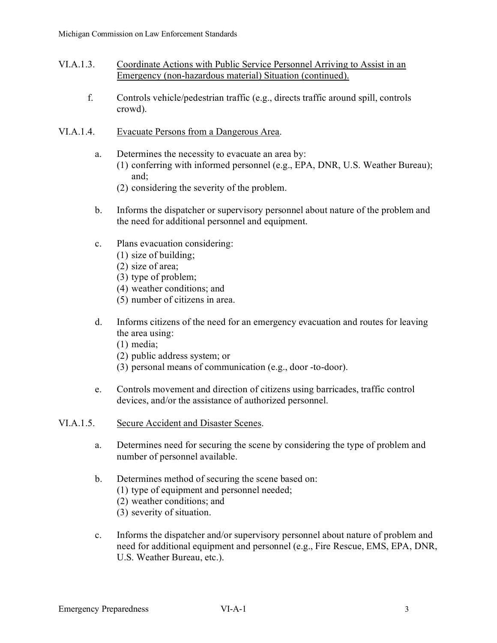- VI.A.1.3. Coordinate Actions with Public Service Personnel Arriving to Assist in an Emergency (non-hazardous material) Situation (continued).
	- f. Controls vehicle/pedestrian traffic (e.g., directs traffic around spill, controls crowd).
- VI.A.1.4. Evacuate Persons from a Dangerous Area.
	- a. Determines the necessity to evacuate an area by: (1) conferring with informed personnel (e.g., EPA, DNR, U.S. Weather Bureau); and;
		- (2) considering the severity of the problem.
	- b. Informs the dispatcher or supervisory personnel about nature of the problem and the need for additional personnel and equipment.
	- c. Plans evacuation considering:
		- (1) size of building;
		- (2) size of area;
		- (3) type of problem;
		- (4) weather conditions; and
		- (5) number of citizens in area.
	- d. Informs citizens of the need for an emergency evacuation and routes for leaving the area using:
		- (1) media;
		- (2) public address system; or
		- (3) personal means of communication (e.g., door -to-door).
	- e. Controls movement and direction of citizens using barricades, traffic control devices, and/or the assistance of authorized personnel.
- VI.A.1.5. Secure Accident and Disaster Scenes.
	- a. Determines need for securing the scene by considering the type of problem and number of personnel available.
	- b. Determines method of securing the scene based on:
		- (1) type of equipment and personnel needed;
		- (2) weather conditions; and
		- (3) severity of situation.
	- c. Informs the dispatcher and/or supervisory personnel about nature of problem and need for additional equipment and personnel (e.g., Fire Rescue, EMS, EPA, DNR, U.S. Weather Bureau, etc.).